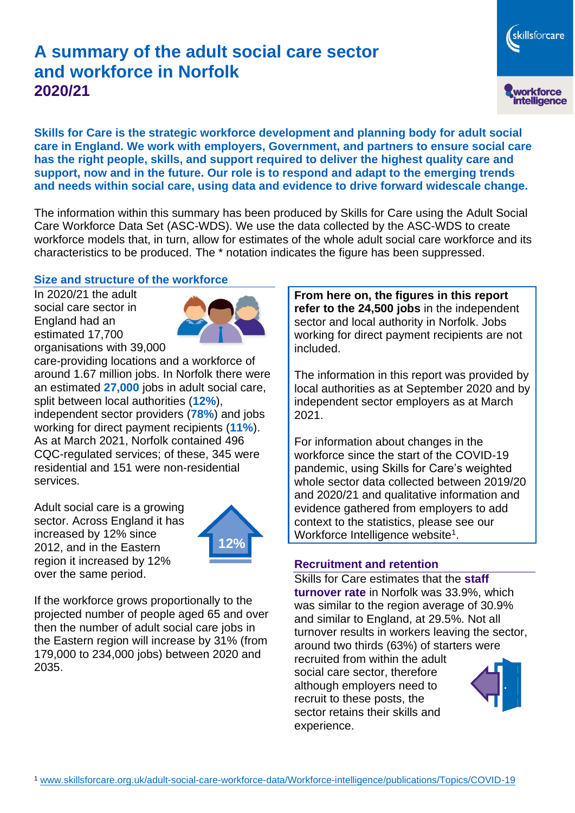# **A summary of the adult social care sector and workforce in Norfolk 2020/21**

skillsforcare workforce<br>intelligence

**Skills for Care is the strategic workforce development and planning body for adult social care in England. We work with employers, Government, and partners to ensure social care has the right people, skills, and support required to deliver the highest quality care and support, now and in the future. Our role is to respond and adapt to the emerging trends and needs within social care, using data and evidence to drive forward widescale change.**

The information within this summary has been produced by Skills for Care using the Adult Social Care Workforce Data Set (ASC-WDS). We use the data collected by the ASC-WDS to create workforce models that, in turn, allow for estimates of the whole adult social care workforce and its characteristics to be produced. The \* notation indicates the figure has been suppressed.

#### **Size and structure of the workforce**

In 2020/21 the adult social care sector in England had an estimated 17,700 organisations with 39,000



care-providing locations and a workforce of around 1.67 million jobs. In Norfolk there were an estimated **27,000** jobs in adult social care, split between local authorities (**12%**), independent sector providers (**78%**) and jobs working for direct payment recipients (**11%**). As at March 2021, Norfolk contained 496 CQC-regulated services; of these, 345 were residential and 151 were non-residential services.

Adult social care is a growing sector. Across England it has increased by 12% since 2012, and in the Eastern region it increased by 12% over the same period.



If the workforce grows proportionally to the projected number of people aged 65 and over then the number of adult social care jobs in the Eastern region will increase by 31% (from 179,000 to 234,000 jobs) between 2020 and 2035.

**From here on, the figures in this report refer to the 24,500 jobs** in the independent sector and local authority in Norfolk. Jobs working for direct payment recipients are not included.

The information in this report was provided by local authorities as at September 2020 and by independent sector employers as at March 2021.

For information about changes in the workforce since the start of the COVID-19 pandemic, using Skills for Care's weighted whole sector data collected between 2019/20 and 2020/21 and qualitative information and evidence gathered from employers to add context to the statistics, please see our Workforce Intelligence website<sup>1</sup>.

#### **Recruitment and retention**

Skills for Care estimates that the **staff turnover rate** in Norfolk was 33.9%, which was similar to the region average of 30.9% and similar to England, at 29.5%. Not all turnover results in workers leaving the sector, around two thirds (63%) of starters were recruited from within the adult social care sector, therefore although employers need to recruit to these posts, the sector retains their skills and experience.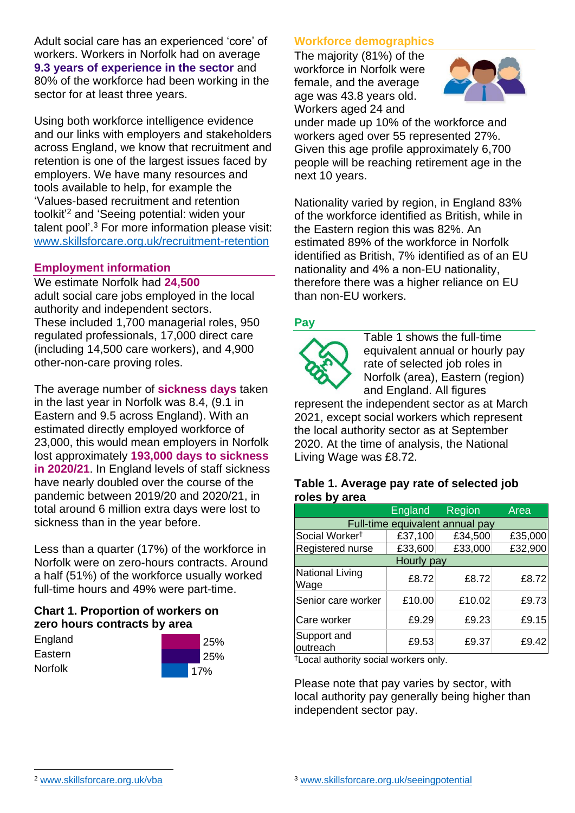Adult social care has an experienced 'core' of workers. Workers in Norfolk had on average **9.3 years of experience in the sector** and 80% of the workforce had been working in the sector for at least three years.

Using both workforce intelligence evidence and our links with employers and stakeholders across England, we know that recruitment and retention is one of the largest issues faced by employers. We have many resources and tools available to help, for example the 'Values-based recruitment and retention toolkit'<sup>2</sup> and 'Seeing potential: widen your talent pool'. <sup>3</sup> For more information please visit: [www.skillsforcare.org.uk/recruitment-retention](http://www.skillsforcare.org.uk/recruitment-retention)

## **Employment information**

We estimate Norfolk had **24,500** adult social care jobs employed in the local authority and independent sectors. These included 1,700 managerial roles, 950 regulated professionals, 17,000 direct care (including 14,500 care workers), and 4,900 other-non-care proving roles.

The average number of **sickness days** taken in the last year in Norfolk was 8.4, (9.1 in Eastern and 9.5 across England). With an estimated directly employed workforce of 23,000, this would mean employers in Norfolk lost approximately **193,000 days to sickness in 2020/21**. In England levels of staff sickness have nearly doubled over the course of the pandemic between 2019/20 and 2020/21, in total around 6 million extra days were lost to sickness than in the year before.

Less than a quarter (17%) of the workforce in Norfolk were on zero-hours contracts. Around a half (51%) of the workforce usually worked full-time hours and 49% were part-time.

# **Chart 1. Proportion of workers on zero hours contracts by area**

| England |  |
|---------|--|
| Eastern |  |
| Norfolk |  |



# **Workforce demographics**

The majority (81%) of the workforce in Norfolk were female, and the average age was 43.8 years old. Workers aged 24 and



under made up 10% of the workforce and workers aged over 55 represented 27%. Given this age profile approximately 6,700 people will be reaching retirement age in the next 10 years.

Nationality varied by region, in England 83% of the workforce identified as British, while in the Eastern region this was 82%. An estimated 89% of the workforce in Norfolk identified as British, 7% identified as of an EU nationality and 4% a non-EU nationality, therefore there was a higher reliance on EU than non-EU workers.

# **Pay**



Table 1 shows the full-time equivalent annual or hourly pay rate of selected job roles in Norfolk (area), Eastern (region) and England. All figures

represent the independent sector as at March 2021, except social workers which represent the local authority sector as at September 2020. At the time of analysis, the National Living Wage was £8.72.

#### **Table 1. Average pay rate of selected job roles by area**

|                                 | England | Region  | Area    |
|---------------------------------|---------|---------|---------|
| Full-time equivalent annual pay |         |         |         |
| Social Worker <sup>t</sup>      | £37,100 | £34,500 | £35,000 |
| Registered nurse                | £33,600 | £33,000 | £32,900 |
| <b>Hourly pay</b>               |         |         |         |
| National Living<br>Wage         | £8.72   | £8.72   | £8.72   |
| Senior care worker              | £10.00  | £10.02  | £9.73   |
| Care worker                     | £9.29   | £9.23   | £9.15   |
| Support and<br>outreach         | £9.53   | £9.37   | £9.42   |

†Local authority social workers only.

Please note that pay varies by sector, with local authority pay generally being higher than independent sector pay.

[www.skillsforcare.org.uk/vba](http://www.skillsforcare.org.uk/vba)